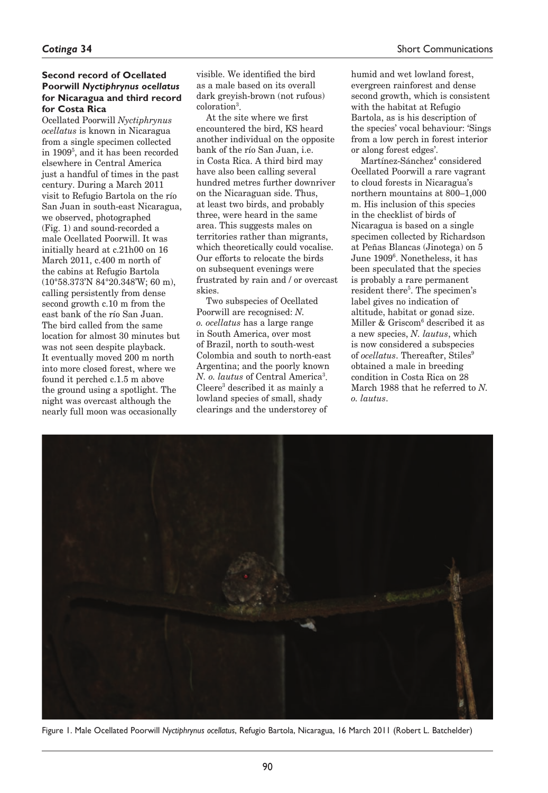# **Second record of Ocellated Poorwill** *Nyctiphrynus ocellatus* **for Nicaragua and third record for Costa Rica**

Ocellated Poorwill *Nyctiphrynus ocellatus* is known in Nicaragua from a single specimen collected in 19095 , and it has been recorded elsewhere in Central America just a handful of times in the past century. During a March 2011 visit to Refugio Bartola on the río San Juan in south-east Nicaragua, we observed, photographed (Fig. 1) and sound-recorded a male Ocellated Poorwill. It was initially heard at c.21h00 on 16 March 2011, c.400 m north of the cabins at Refugio Bartola (10°58.373'N 84°20.348'W; 60 m), calling persistently from dense second growth c.10 m from the east bank of the río San Juan. The bird called from the same location for almost 30 minutes but was not seen despite playback. It eventually moved 200 m north into more closed forest, where we found it perched c.1.5 m above the ground using a spotlight. The night was overcast although the nearly full moon was occasionally

visible. We identified the bird as a male based on its overall dark greyish-brown (not rufous) coloration3 .

At the site where we first encountered the bird, KS heard another individual on the opposite bank of the río San Juan, i.e. in Costa Rica. A third bird may have also been calling several hundred metres further downriver on the Nicaraguan side. Thus, at least two birds, and probably three, were heard in the same area. This suggests males on territories rather than migrants, which theoretically could vocalise. Our efforts to relocate the birds on subsequent evenings were frustrated by rain and / or overcast skies.

Two subspecies of Ocellated Poorwill are recognised: *N. o. ocellatus* has a large range in South America, over most of Brazil, north to south-west Colombia and south to north-east Argentina; and the poorly known *N. o. lautus* of Central America<sup>3</sup>. Cleere3 described it as mainly a lowland species of small, shady clearings and the understorey of

humid and wet lowland forest, evergreen rainforest and dense second growth, which is consistent with the habitat at Refugio Bartola, as is his description of the species' vocal behaviour: 'Sings from a low perch in forest interior or along forest edges'.

Martínez-Sánchez<sup>4</sup> considered Ocellated Poorwill a rare vagrant to cloud forests in Nicaragua's northern mountains at 800–1,000 m. His inclusion of this species in the checklist of birds of Nicaragua is based on a single specimen collected by Richardson at Peñas Blancas (Jinotega) on 5 June 19096 . Nonetheless, it has been speculated that the species is probably a rare permanent resident there<sup>5</sup>. The specimen's label gives no indication of altitude, habitat or gonad size. Miller & Griscom6 described it as a new species, *N. lautus*, which is now considered a subspecies of *ocellatus*. Thereafter, Stiles<sup>9</sup> obtained a male in breeding condition in Costa Rica on 28 March 1988 that he referred to *N. o. lautus*.



Figure 1. Male Ocellated Poorwill *Nyctiphrynus ocellatus*, Refugio Bartola, Nicaragua, 16 March 2011 (Robert L. Batchelder)